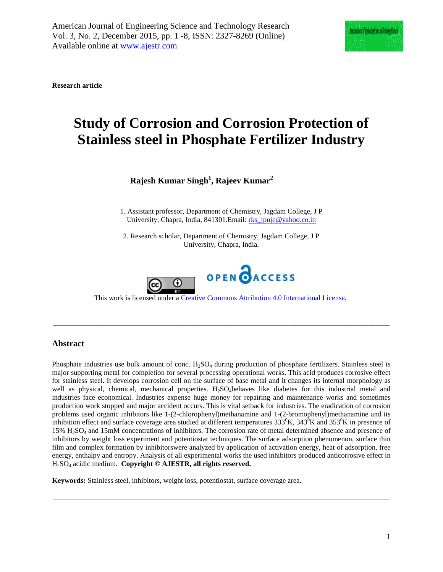

**Research article**

# **Study of Corrosion and Corrosion Protection of Stainless steel in Phosphate Fertilizer Industry**

**Rajesh Kumar Singh1 , Rajeev Kumar2**

1. Assistant professor, Department of Chemistry, Jagdam College, J P University, Chapra, India, 841301. Email[: rks\\_jpujc@yahoo.co.in](mailto:rks_jpujc@yahoo.co.in)

2. Research scholar, Department of Chemistry, Jagdam College, J P University, Chapra, India.



Thiswork is licensed under a [Creative Commons Attribution 4.0 International License.](http://creativecommons.org/licenses/by/4.0/)

\_\_\_\_\_\_\_\_\_\_\_\_\_\_\_\_\_\_\_\_\_\_\_\_\_\_\_\_\_\_\_\_\_\_\_\_\_\_\_\_\_\_\_\_\_\_\_\_\_\_\_\_\_\_\_\_\_\_\_\_\_\_\_\_\_\_\_\_\_\_\_\_\_\_\_\_\_\_\_\_\_\_\_\_\_\_\_\_\_\_\_\_\_

# **Abstract**

Phosphate industries use bulk amount of conc.  $H_2SO_4$  during production of phosphate fertilizers. Stainless steel is major supporting metal for completion for several processing operational works. This acid produces corrosive effect for stainless steel. It develops corrosion cell on the surface of base metal and it changes its internal morphology as well as physical, chemical, mechanical properties. H<sub>2</sub>SO<sub>4</sub>behaves like diabetes for this industrial metal and industries face economical. Industries expense huge money for repairing and maintenance works and sometimes production work stopped and major accident occurs. This is vital setback for industries. The eradication of corrosion problems used organic inhibitors like 1-(2-chlorophenyl)methanamine and 1-(2-bromophenyl)methanamine and its inhibition effect and surface coverage area studied at different temperatures  $333^0K$ ,  $343^0K$  and  $353^0K$  in presence of 15% H2SO4 and 15mM concentrations of inhibitors. The corrosion rate of metal determined absence and presence of inhibitors by weight loss experiment and potentiostat techniques. The surface adsorption phenomenon, surface thin film and complex formation by inhibitorswere analyzed by application of activation energy, heat of adsorption, free energy, enthalpy and entropy. Analysis of all experimental works the used inhibitors produced anticorrosive effect in H2SO4 acidic medium. **Copyright © AJESTR, all rights reserved.**

\_\_\_\_\_\_\_\_\_\_\_\_\_\_\_\_\_\_\_\_\_\_\_\_\_\_\_\_\_\_\_\_\_\_\_\_\_\_\_\_\_\_\_\_\_\_\_\_\_\_\_\_\_\_\_\_\_\_\_\_\_\_\_\_\_\_\_\_\_\_\_\_\_\_\_\_\_\_\_\_\_\_\_\_\_\_\_\_\_\_\_\_\_

**Keywords:** Stainless steel, inhibitors, weight loss, potentiostat, surface coverage area.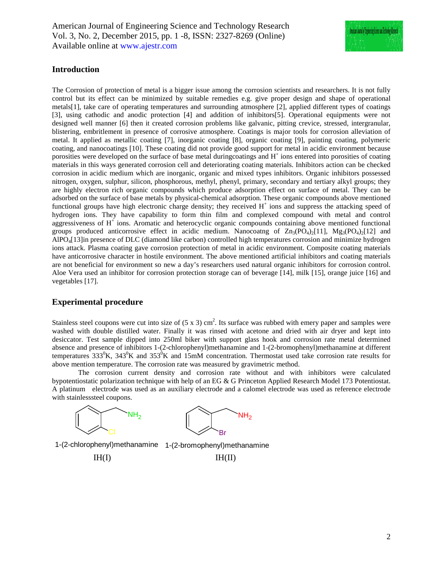

# **Introduction**

The Corrosion of protection of metal is a bigger issue among the corrosion scientists and researchers. It is not fully control but its effect can be minimized by suitable remedies e.g. give proper design and shape of operational metals[1], take care of operating temperatures and surrounding atmosphere [2], applied different types of coatings [3], using cathodic and anodic protection [4] and addition of inhibitors[5]. Operational equipments were not designed well manner [6] then it created corrosion problems like galvanic, pitting crevice, stressed, intergranular, blistering, embritlement in presence of corrosive atmosphere. Coatings is major tools for corrosion alleviation of metal. It applied as metallic coating [7], inorganic coating [8], organic coating [9], painting coating, polymeric coating, and nanocoatings [10]. These coating did not provide good support for metal in acidic environment because porosities were developed on the surface of base metal during coatings and  $H<sup>+</sup>$  ions entered into porosities of coating materials in this ways generated corrosion cell and deteriorating coating materials. Inhibitors action can be checked corrosion in acidic medium which are inorganic, organic and mixed types inhibitors. Organic inhibitors possessed nitrogen, oxygen, sulphur, silicon, phosphorous, methyl, phenyl, primary, secondary and tertiary alkyl groups; they are highly electron rich organic compounds which produce adsorption effect on surface of metal. They can be adsorbed on the surface of base metals by physical-chemical adsorption. These organic compounds above mentioned functional groups have high electronic charge density; they received H<sup>+</sup> ions and suppress the attacking speed of hydrogen ions. They have capability to form thin film and complexed compound with metal and control aggressiveness of H<sup>+</sup> ions. Aromatic and heterocyclic organic compounds containing above mentioned functional groups produced anticorrosive effect in acidic medium. Nanocoatng of  $Zn_3(PQ_4)_2[11]$ , Mg<sub>3</sub>(PO<sub>4</sub>)<sub>2</sub>[12] and AlPO4[13]in presence of DLC (diamond like carbon) controlled high temperatures corrosion and minimize hydrogen ions attack. Plasma coating gave corrosion protection of metal in acidic environment. Composite coating materials have anticorrosive character in hostile environment. The above mentioned artificial inhibitors and coating materials are not beneficial for environment so new a day's researchers used natural organic inhibitors for corrosion control. Aloe Vera used an inhibitor for corrosion protection storage can of beverage [14], milk [15], orange juice [16] and vegetables [17].

# **Experimental procedure**

Stainless steel coupons were cut into size of  $(5 \times 3)$  cm<sup>2</sup>. Its surface was rubbed with emery paper and samples were washed with double distilled water. Finally it was rinsed with acetone and dried with air dryer and kept into desiccator. Test sample dipped into 250ml biker with support glass hook and corrosion rate metal determined absence and presence of inhibitors 1-(2-chlorophenyl)methanamine and 1-(2-bromophenyl)methanamine at different temperatures  $333^0K$ ,  $343^0K$  and  $353^0K$  and  $15mM$  concentration. Thermostat used take corrosion rate results for above mention temperature. The corrosion rate was measured by gravimetric method.

The corrosion current density and corrosion rate without and with inhibitors were calculated bypotentiostatic polarization technique with help of an EG & G Princeton Applied Research Model 173 Potentiostat. A platinum electrode was used as an auxiliary electrode and a calomel electrode was used as reference electrode with stainlesssteel coupons.



1-(2-chlorophenyl)methanamine 1-(2-bromophenyl)methanamine

 $IH(I)$   $IH(II)$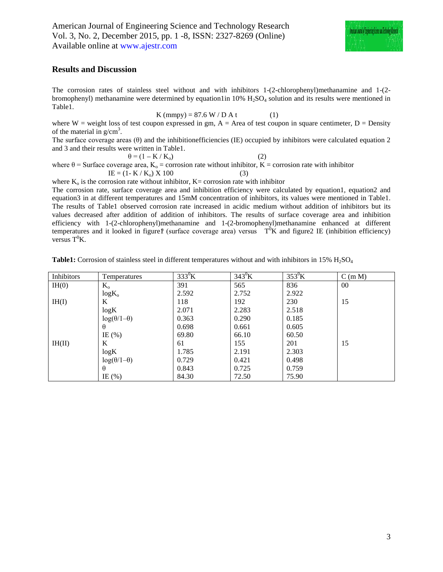

#### **Results and Discussion**

The corrosion rates of stainless steel without and with inhibitors 1-(2-chlorophenyl)methanamine and 1-(2 bromophenyl) methanamine were determined by equation1in 10%  $H_2SO_4$  solution and its results were mentioned in Table1.

$$
K (mmpy) = 87.6 W / D At
$$
 (1)

where  $W =$  weight loss of test coupon expressed in gm,  $A =$  Area of test coupon in square centimeter,  $D =$  Density of the material in  $g/cm<sup>3</sup>$ .

The surface coverage areas  $(\theta)$  and the inhibitionefficiencies (IE) occupied by inhibitors were calculated equation 2 and 3 and their results were written in Table1.

$$
\theta = (1 - K / K_0)
$$
 (2)  
where  $\theta$  = Surface coverage area, K<sub>o</sub> = conversion rate without inhibitor, K = conversion rate with inhibitor  
IE = (1 - K / K<sub>o</sub>) X 100 (3)

where  $K_0$  is the corrosion rate without inhibitor,  $K=$  corrosion rate with inhibitor The corrosion rate, surface coverage area and inhibition efficiency were calculated by equation1, equation2 and equation3 in at different temperatures and 15mM concentration of inhibitors, its values were mentioned in Table1. The results of Table1 observed corrosion rate increased in acidic medium without addition of inhibitors but its values decreased after addition of addition of inhibitors. The results of surface coverage area and inhibition efficiency with 1-(2-chlorophenyl)methanamine and 1-(2-bromophenyl)methanamine enhanced at different temperatures and it looked in figure  $\ell$  (surface coverage area) versus  $T^0K$  and figure 2 IE (inhibition efficiency) versus  $T^0K$ .

| Inhibitors | Temperatures           | $333^0$ K | $343^0$ K | $353^0$ K | C(m M) |
|------------|------------------------|-----------|-----------|-----------|--------|
| IH(0)      | $K_{o}$                | 391       | 565       | 836       | 00     |
|            | $log K_{o}$            | 2.592     | 2.752     | 2.922     |        |
| IH(I)      | K                      | 118       | 192       | 230       | 15     |
|            | log K                  | 2.071     | 2.283     | 2.518     |        |
|            | $log(\theta/1-\theta)$ | 0.363     | 0.290     | 0.185     |        |
|            | $\theta$               | 0.698     | 0.661     | 0.605     |        |
|            | IE $(\% )$             | 69.80     | 66.10     | 60.50     |        |
| IH(II)     | K                      | 61        | 155       | 201       | 15     |
|            | log K                  | 1.785     | 2.191     | 2.303     |        |
|            | $log(\theta/1-\theta)$ | 0.729     | 0.421     | 0.498     |        |
|            | $\theta$               | 0.843     | 0.725     | 0.759     |        |
|            | IE $(\%)$              | 84.30     | 72.50     | 75.90     |        |

**Table1:** Corrosion of stainless steel in different temperatures without and with inhibitors in 15% H<sub>2</sub>SO<sub>4</sub>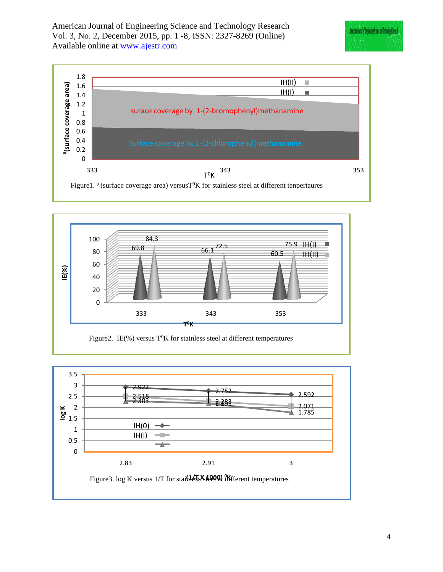





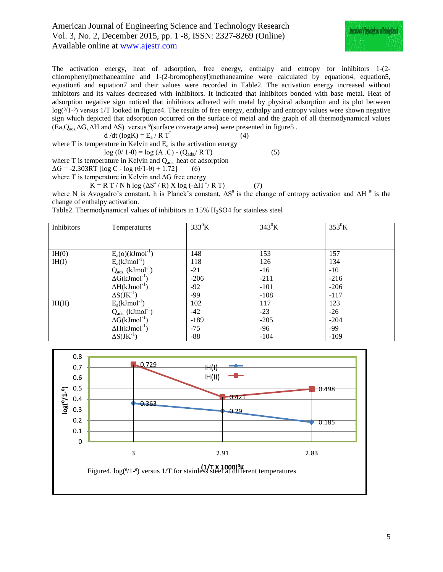

The activation energy, heat of adsorption, free energy, enthalpy and entropy for inhibitors 1-(2 chlorophenyl)methaneamine and 1-(2-bromophenyl)methaneamine were calculated by equation4, equation5, equation6 and equation7 and their values were recorded in Table2. The activation energy increased without inhibitors and its values decreased with inhibitors. It indicated that inhibitors bonded with base metal. Heat of adsorption negative sign noticed that inhibitors adhered with metal by physical adsorption and its plot between  $log(\frac{\theta}{1-\theta})$  versus 1/T looked in figture4. The results of free energy, enthalpy and entropy values were shown negative sign which depicted that adsorption occurred on the surface of metal and the graph of all thermodynamical values (Ea, $Q_{ads} \Delta G$ ,  $\Delta H$  and  $\Delta S$ ) versus <sup>θ</sup>(surface coverage area) were presented in figure5.

$$
d/dt (logK) = E_a / R T^2
$$
 (4)  
where T is temperature in Kelvin and E<sub>a</sub> is the activation energy

$$
\log (\theta / 1 - \theta) = \log (A \cdot C) - (Q_{ads} / R \cdot T)
$$
 (5)

where  $T$  is temperature in Kelvin and  $Q_{ads}$  heat of adsorption

 $\Delta G = -2.303RT$  [log C - log  $(\theta/1-\theta) + 1.72$ ] (6)

where 
$$
T
$$
 is temperature in Kelvin and  $\Delta G$  free energy

 $K = R T / N h \log (\Delta S^{\#} / R) X \log (-\Delta H^{\#} / R T)$  (7)

where N is Avogadro's constant, h is Planck's constant,  $\Delta S^*$  is the change of entropy activation and  $\Delta H^*$  is the change of enthalpy activation.

Table2. Thermodynamical values of inhibitors in  $15\%$  H<sub>2</sub>SO4 for stainless steel

| Inhibitors | Temperatures                      | $333^0$ K | $343^0$ K | $353^0$ K |
|------------|-----------------------------------|-----------|-----------|-----------|
|            |                                   |           |           |           |
|            |                                   |           |           |           |
| IH(0)      | $E_a(o)(kJmol^{-1})$              | 148       | 153       | 157       |
| IH(I)      | $E_a(kJmol^{-1})$                 | 118       | 126       | 134       |
|            | $Q_{ads.}$ (kJmol <sup>-1</sup> ) | $-21$     | $-16$     | $-10$     |
|            | $\Delta G(kJmol^{-1})$            | $-206$    | $-211$    | $-216$    |
|            | $\Delta H(kJmol^{-1})$            | $-92$     | $-101$    | $-206$    |
|            | $\Delta S(JK^{-1})$               | -99       | $-108$    | $-117$    |
| IH(II)     | $E_a(kJmol^{-1})$                 | 102       | 117       | 123       |
|            | $Q_{ads}$ (kJmol <sup>-1</sup> )  | $-42$     | $-23$     | $-26$     |
|            | $\Delta G(kJmol^{-1})$            | $-189$    | $-205$    | $-204$    |
|            | $\Delta H(kJmol^{-1})$            | $-75$     | $-96$     | $-99$     |
|            | $\Delta S(JK^{-1})$               | $-88$     | $-104$    | $-109$    |

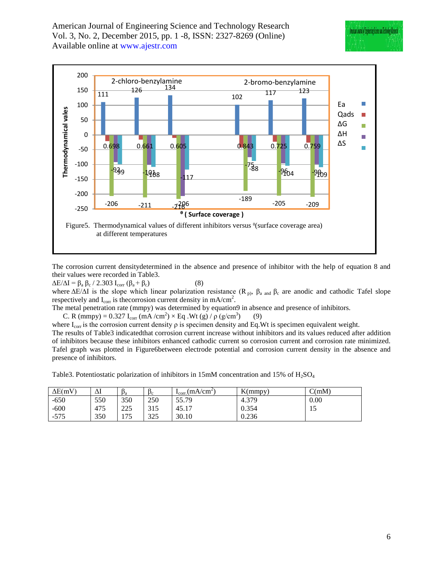

The corrosion current densitydetermined in the absence and presence of inhibitor with the help of equation 8 and their values were recorded in Table3.

 $\Delta E/\Delta I = \beta_a \beta_c / 2.303 I_{corr} (\beta_a + \beta_c)$  (8)

where  $\Delta E/\Delta I$  is the slope which linear polarization resistance (R<sub>p)</sub>,  $\beta_a$  and  $\beta_c$  are anodic and cathodic Tafel slope respectively and  $I_{\text{corr}}$  is the corrosion current density in mA/cm<sup>2</sup>.

The metal penetration rate (mmpy) was determined by equation9 in absence and presence of inhibitors.

C. R (mmpy) = 0.327 I<sub>corr</sub> (mA /cm<sup>2</sup>) × Eq .Wt (g) /  $\rho$  (g/cm<sup>3</sup> ) (9)

where  $I_{\text{corr}}$  is the corrosion current density  $\rho$  is specimen density and Eq.Wt is specimen equivalent weight. The results of Table3 indicatedthat corrosion current increase without inhibitors and its values reduced after addition of inhibitors because these inhibitors enhanced cathodic current so corrosion current and corrosion rate minimized. Tafel graph was plotted in Figure6between electrode potential and corrosion current density in the absence and presence of inhibitors.

Table3. Potentiostatic polarization of inhibitors in 15mM concentration and 15% of  $H_2SO_4$ 

| $\Delta E(mV)$ | Δl  | a   | $p_c$ | $I_{\text{corr.}}$ (mA/cm <sup>2)</sup> | K(mmpy) | C(mM) |
|----------------|-----|-----|-------|-----------------------------------------|---------|-------|
| $-650$         | 550 | 350 | 250   | 55.79                                   | 4.379   | 0.00  |
| $-600$         | 475 | 225 | 315   | 45.17                                   | 0.354   | 15    |
| $-575$         | 350 | 175 | 325   | 30.10                                   | 0.236   |       |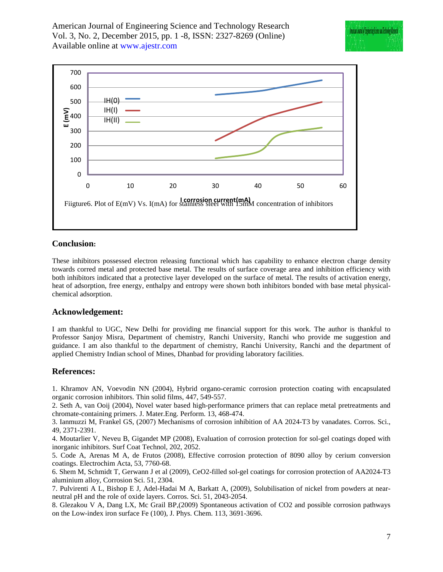

# **Conclusion:**

These inhibitors possessed electron releasing functional which has capability to enhance electron charge density towards corred metal and protected base metal. The results of surface coverage area and inhibition efficiency with both inhibitors indicated that a protective layer developed on the surface of metal. The results of activation energy, heat of adsorption, free energy, enthalpy and entropy were shown both inhibitors bonded with base metal physicalchemical adsorption.

# **Acknowledgement:**

I am thankful to UGC, New Delhi for providing me financial support for this work. The author is thankful to Professor Sanjoy Misra, Department of chemistry, Ranchi University, Ranchi who provide me suggestion and guidance. I am also thankful to the department of chemistry, Ranchi University, Ranchi and the department of applied Chemistry Indian school of Mines, Dhanbad for providing laboratory facilities.

# **References:**

1. Khramov AN, Voevodin NN (2004), Hybrid organo-ceramic corrosion protection coating with encapsulated organic corrosion inhibitors. Thin solid films, 447, 549-557.

2. Seth A, van Ooij (2004), Novel water based high-performance primers that can replace metal pretreatments and chromate-containing primers. J. Mater.Eng. Perform. 13, 468-474.

3. Ianmuzzi M, Frankel GS, (2007) Mechanisms of corrosion inhibition of AA 2024-T3 by vanadates. Corros. Sci., 49, 2371-2391.

4. Moutarlier V, Neveu B, Gigandet MP (2008), Evaluation of corrosion protection for sol-gel coatings doped with inorganic inhibitors. Surf Coat Technol, 202, 2052.

5. Code A, Arenas M A, de Frutos (2008), Effective corrosion protection of 8090 alloy by cerium conversion coatings. Electrochim Acta, 53, 7760-68.

6. Shem M, Schmidt T, Gerwann J et al (2009), CeO2-filled sol-gel coatings for corrosion protection of AA2024-T3 aluminium alloy, Corrosion Sci. 51, 2304.

7. Pulvirenti A L, Bishop E J, Adel-Hadai M A, Barkatt A, (2009), Solubilisation of nickel from powders at nearneutral pH and the role of oxide layers. Corros. Sci. 51, 2043-2054.

8. Glezakou V A, Dang LX, Mc Grail BP,(2009) Spontaneous activation of CO2 and possible corrosion pathways on the Low-index iron surface Fe (100), J. Phys. Chem. 113, 3691-3696.